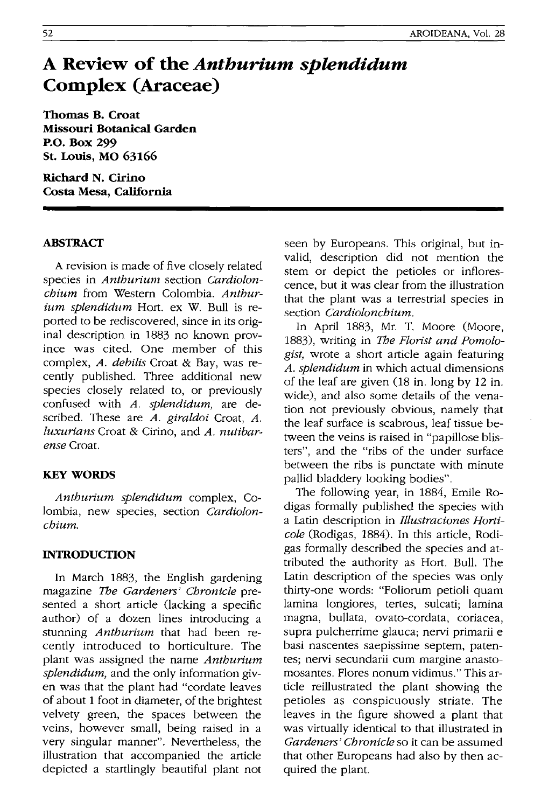# **A Review of the** *Anthurium splendidum*  **Complex (Araceae)**

**Thomas B. Croat Missouri Botanical Garden P.O. Box 299 St. Louis, MO 63166** 

**Richard N. Cirino Costa Mesa, California** 

#### **ABSTRACT**

A revision is made of five closely related species in *Anthurium* section *Cardiolonchium* from Western Colombia. *Anthurium splendidum* Hort. ex W. Bull is reported to be rediscovered, since in its original description in 1883 no known province was cited. One member of this complex, *A. debilis* Croat & Bay, was recently published. Three additional new species closely related to, or previously confused with *A. splendidum,* are described. These are *A. giraldoi* Croat, *A. luxurians* Croat & Cirino, and *A. nutibarense* Croat.

#### **KEY WORDS**

*Anthurium splendidum* complex, Colombia, new species, section *Cardiolonchium.* 

#### **INTRODUCTION**

In March 1883, the English gardening magazine The *Gardeners' Chronicle* presented a short article (lacking a specific author) of a dozen lines introducing a stunning *Anthurium* that had been recently introduced to horticulture. The plant was assigned the name *Anthurium splendidum,* and the only information given was that the plant had "cordate leaves of about 1 foot in diameter, of the brightest velvety green, the spaces between the veins, however small, being raised in a very singular manner". Nevertheless, the illustration that accompanied the article depicted a startlingly beautiful plant not

seen by Europeans. This original, but invalid, description did not mention the stem or depict the petioles or inflorescence, but it was clear from the illustration that the plant was a terrestrial species in section *Cardiolonchium.* 

In April 1883, Mr. T. Moore (Moore, 1883), writing in The *Florist and Pomologist,* wrote a short article again featuring *A. splendidum* in which actual dimensions of the leaf are given (18 in. long by 12 in. wide), and also some details of the venation not previously obvious, namely that the leaf surface is scabrous, leaf tissue between the veins is raised in "papillose blisters", and the "ribs of the under surface between the ribs is punctate with minute pallid bladdery looking bodies".

The following year, in 1884, Emile Rodigas formally published the species with a Latin description in *Illustraciones Horticole* (Rodigas, 1884). In this article, Rodigas formally described the species and attributed the authority as Hort. Bull. The Latin description of the species was only thirty-one words: "Foliorum petioli quam lamina longiores, tertes, sulcati; lamina magna, bullata, ovato-cordata, coriacea, supra pulcherrime glauca; nervi primarii e basi nascentes saepissime septem, patentes; nervi secundarii cum margine anastomosantes. Flores nonum vidimus." This article reillustrated the plant showing the petioles as conspicuously striate. The leaves in the figure showed a plant that was virtually identical to that illustrated in *Gardeners' Chronicle* so it can be assumed that other Europeans had also by then acquired the plant.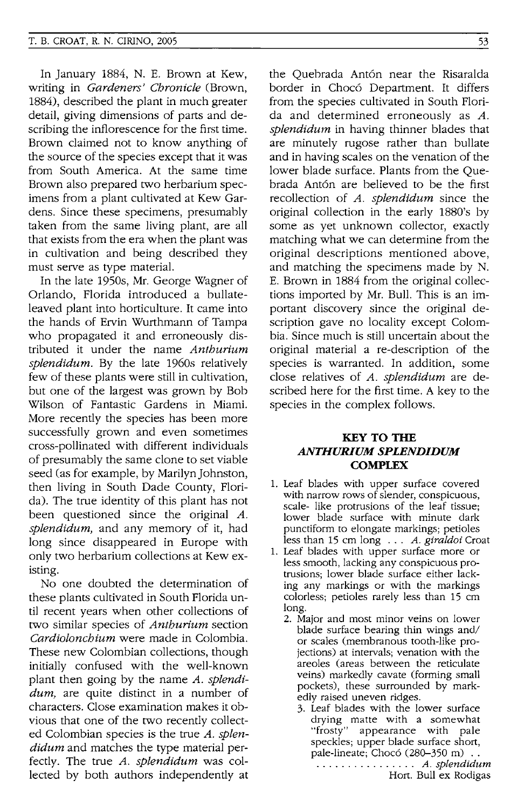In January 1884, N. E. Brown at Kew, writing in *Gardeners' Chronicle* (Brown, 1884), described the plant in much greater detail, giving dimensions of parts and describing the inflorescence for the first time. Brown claimed not to know anything of the source of the species except that it was from South America. At the same time Brown also prepared two herbarium specimens from a plant cultivated at Kew Gardens. Since these specimens, presumably taken from the same living plant, are all that exists from the era when the plant was in cultivation and being described they must serve as type material.

In the late 1950s, Mr. George Wagner of Orlando, Florida introduced a bullateleaved plant into horticulture. It came into the hands of Ervin Wurthmann of Tampa who propagated it and erroneously distributed it under the name *Anthurium splendidum.* By the late 1960s relatively few of these plants were still in cultivation, but one of the largest was grown by Bob Wilson of Fantastic Gardens in Miami. More recently the species has been more successfully grown and even sometimes cross-pollinated with different individuals of presumably the same clone to set viable seed (as for example, by Marilyn Johnston, then living in South Dade County, Florida). The true identity of this plant has not been questioned since the original A. *splendidum,* and any memory of it, had long since disappeared in Europe with only two herbarium collections at Kew existing.

No one doubted the determination of these plants cultivated in South Florida until recent years when other collections of two similar species of *Anthurium* section *Cardiolonchium* were made in Colombia. These new Colombian collections, though initially confused with the well-known plant then going by the name *A. splendidum,* are quite distinct in a number of characters. Close examination makes it obvious that one of the two recently collected Colombian species is the true *A. splendidum* and matches the type material perfectly. The true *A. splendidum* was collected by both authors independently at the Quebrada Ant6n near the Risaralda border in Choc6 Department. It differs from the species cultivated in South Florida and determined erroneously as *A. splendidum* in having thinner blades that are minutely rugose rather than bullate and in having scales on the venation of the lower blade surface. Plants from the Quebrada Ant6n are believed to be the first recollection of *A. splendidum* since the original collection in the early 1880's by some as yet unknown collector, exactly matching what we can determine from the original descriptions mentioned above, and matching the specimens made by N. E. Brown in 1884 from the original collections imported by Mr. Bull. This is an important discovery since the original description gave no locality except Colombia. Since much is still uncertain about the Original material a re-description of the species is warranted. In addition, some close relatives of *A. splendidum* are described here for the first time. A key to the species in the complex follows.

### KEY TO THE *ANTHURIUM SPLENDIDUM*  **COMPLEX**

- 1. Leaf blades with upper surface covered with narrow rows of slender, conspicuous, scale- like protrusions of the leaf tissue; lower blade surface with minute dark punctiform to elongate markings; petioles less than 15 cm long ... *A. giraldoi* Croat
- 1. Leaf blades with upper surface more or less smooth, lacking any conspicuous protrusions; lower blade surface either lacking any markings or with the markings colorless; petioles rarely less than 15 cm long.
	- 2. Major and most minor veins on lower blade surface bearing thin wings and/ or scales (membranous tooth-like projections) at intervals; venation with the areoles (areas between the reticulate veins) markedly cavate (forming small pockets), these surrounded by markedly raised uneven ridges.
		- 3. Leaf blades with the lower surface drying matte with a somewhat "frosty" appearance with pale speckles; upper blade surface short, pale-lineate; Chocó (280-350 m). . . . . . . . . . . . . . . .. *A. splendidum*  Hort. Bull ex Rodigas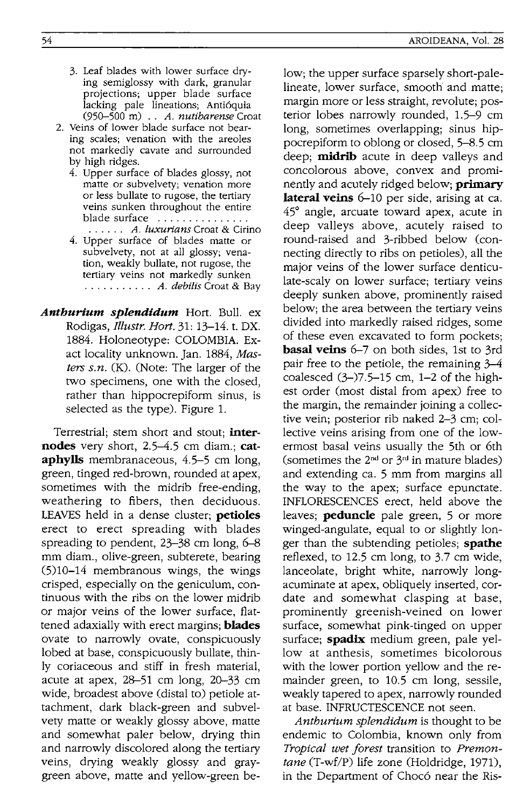- 3. Leaf blades with lower surface drying semiglossy with dark, granular projections; upper blade surface lacking pale lineations; Anti6quia (950--500 m) .. *A. nutibarense* Croat
- 2. Veins of lower blade surface not bearing scales; venation with the areoles not markedly cavate and surrounded by high ridges.
	- 4. Upper surface of blades glossy, not matte or subvelvety; venation more or less bullate to rugose, the tertiary veins sunken throughout the entire blade surface ...............
	- . . . . .. A. */uxurians* Croat & Cirino 4. Upper surface of blades matte or subvelvety, not at all glossy; venation, weakly bullate, not rugose, the tertiary veins not markedly sunken ........... *A. debilis* Croat & Bay
- *Anthurium splendidum* Hort. Bull. ex Rodigas, *Illustr. Hart.* 31: 13-14. t. DX. 1884. Holoneotype: COLOMBIA. Exact locality unknown. Jan. 1884, *Masters s.n.* (K). (Note: The larger of the two specimens, one with the closed, rather than hippocrepiform sinus, is selected as the type). Figure 1.

Terrestrial; stem short and stout; **internodes** very short, 2.5-4.5 cm diam.; **cataphylls** membranaceous, 4.5-5 cm long, green, tinged red-brown, rounded at apex, sometimes with the midrib free-ending, weathering to fibers, then deciduous. LEAVES held in a dense cluster; **petioles**  erect to erect spreading with blades spreading to pendent, 23-38 cm long, 6-8 mm diam., olive-green, subterete, bearing (5)10-14 membranous wings, the wings crisped, especially on the geniculum, continuous with the ribs on the lower midrib or major veins of the lower surface, flattened adaxially with erect margins; **blades**  ovate to narrowly ovate, conspicuously lobed at base, conspicuously bullate, thinly coriaceous and stiff in fresh material, acute at apex,  $28-51$  cm long,  $20-33$  cm wide, broadest above (distal to) petiole attachment, dark black-green and subvelvety matte or weakly glossy above, matte and somewhat paler below, drying thin and narrowly discolored along the tertiary veins, drying weakly glossy and graygreen above, matte and yellow-green be-

low; the upper surface sparsely short-palelineate, lower surface, smooth and matte; margin more or less straight, revolute; posterior lobes narrowly rounded, 1.5–9 cm long, sometimes overlapping; sinus hippocrepiform to oblong or closed, 5-8.5 cm deep; **midrib** acute in deep valleys and concolorous above, convex and prominently and acutely ridged below; **primary lateral veins** 6-10 per side, arising at ca. 45° angle, arcuate toward apex, acute in deep valleys above,. acutely raised to round-raised and 3-ribbed below (connecting directly to ribs on petioles), all the major veins of the lower surface denticulate-scaly on lower surface; tertiary veins deeply sunken above, prominently raised below; the area between the tertiary veins divided into markedly raised ridges, some of these even excavated to form pockets; **basal veins** 6-7 on both sides, 1st to 3rd pair free to the petiole, the remaining 3-4 coalesced (3-)7.5-15 cm, 1-2 of the highest order (most distal from apex) free to the margin, the remainder joining a collective vein; posterior rib naked 2-3 cm; collective veins arising from one of the lowermost basal veins usually the 5th or 6th (sometimes the  $2^{nd}$  or  $3^{rd}$  in mature blades) and extending ca. 5 mm from margins all the way to the apex; surface epunctate. INFLORESCENCES erect, held above the leaves; **peduncle** pale green, 5 or more winged-angulate, equal to or slightly longer than the subtending petioles; **spathe**  reflexed, to 12.5 cm long, to 3.7 cm wide, lanceolate, bright white, narrowly longacuminate at apex, obliquely inserted, cordate and somewhat clasping at base, prominently greenish-veined on lower surface, somewhat pink-tinged on upper surface; **spadix** medium green, pale yellow at anthesis, sometimes bicolorous with the lower portion yellow and the remainder green, to 10.5 cm long, sessile, weakly tapered to apex, narrowly rounded at base. INFRUCTESCENCE not seen.

*Anthurium splendidum* is thought to be endemic to Colombia, known only from *Tropical wet forest* transition to *Premontane* (T-wf/P) life zone (Holdridge, 1971), in the Department of Choc6 near the Ris-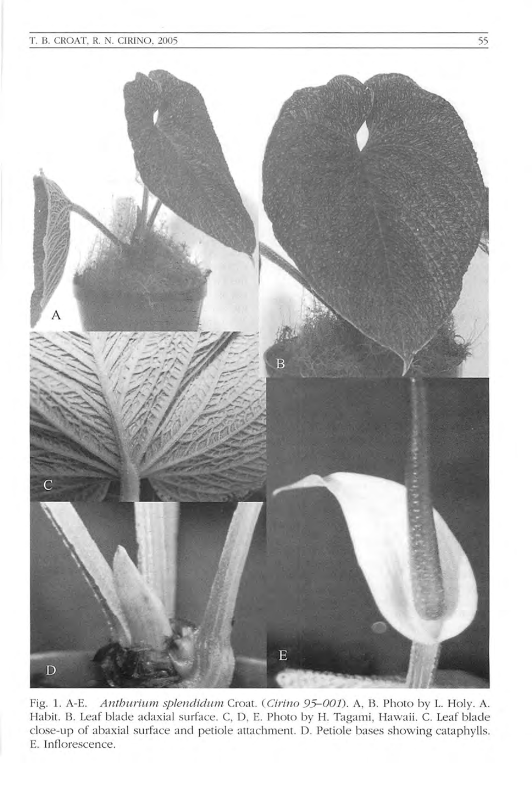

Fig. 1. A-E. Anthurium splendidum Croat. (Cirino 95-001). A, B. Photo by L. Holy. A. Habit. B. Leaf blade adaxial surface. C, D, E. Photo by H. Tagami, Hawaii. C. Leaf blade close-up of abaxial surface and petiole attachment. D. Petiole bases showing cataphylls. E. Inflorescence.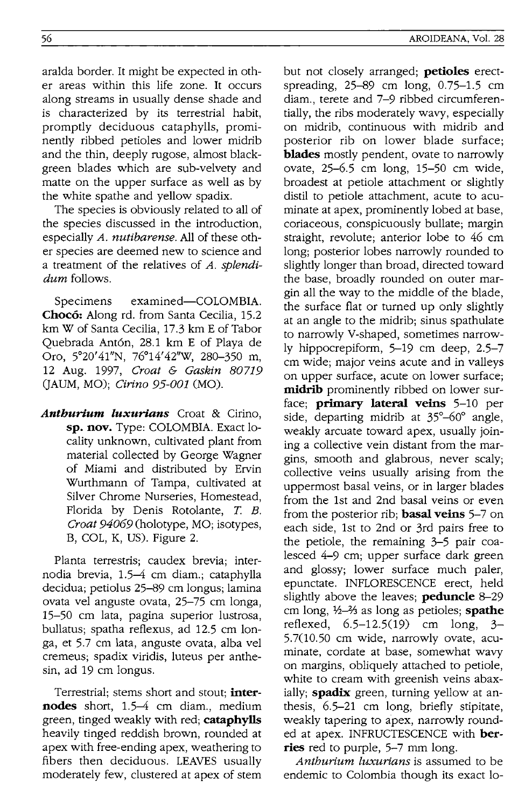aralda border. It might be expected in other areas within this life zone. It occurs along streams in usually dense shade and is characterized by its terrestrial habit, promptly deciduous cataphylls, prominently ribbed petioles and lower midrib and the thin, deeply rugose, almost blackgreen blades which are sub-velvety and matte on the upper surface as well as by the white spathe and yellow spadix.

The species is obviously related to all of the species discussed in the introduction, especially *A. nutibarense.* All of these other species are deemed new to science and a treatment of the relatives of *A. splendidum* follows.

Specimens examined-COLOMBIA. **Choc6:** Along rd. from Santa Cecilia, 15.2 km W of Santa Cecilia, 17.3 km E of Tabor Quebrada Ant6n, 28.1 km E of Playa de Oro, 5°20'41"N, 76°14'42''W, 280-350 m, 12 Aug. 1997, *Croat* & *Gaskin 80719*  (JAUM, MO); *Cirino 95-001* (MO).

*Anthurlum luxurlans* Croat & Cirino, **sp. nov.** Type: COLOMBIA. Exact locality unknown, cultivated plant from material collected by George Wagner of Miami and distributed by Ervin Wurthmann of Tampa, cultivated at Silver Chrome Nurseries, Homestead, Florida by Denis Rotolante, *T. B. Croat 94069* (holotype, MO; isotypes, B, COL, K, US). Figure 2.

Planta terrestris; caudex brevia; internodia brevia, 1.5-4 cm diam.; cataphylla decidua; petiolus 25-89 cm longus; lamina ovata vel anguste ovata, 25-75 cm longa, 15-50 cm lata, pagina superior lustrosa, bullatus; spatha reflexus, ad 12.5 cm longa, et 5.7 cm lata, anguste ovata, alba vel cremeus; spadix viridis, luteus per anthesin, ad 19 cm longus.

Terrestrial; stems short and stout; **internodes** short, 1.5-4 cm diam., medium green, tinged weakly with red; **cataphylls**  heavily tinged reddish brown, rounded at apex with free-ending apex, weathering to fibers then deciduous. LEAVES usually moderately few, clustered at apex of stem but not closely arranged; **petioles** erectspreading, 25-89 cm long, 0.75-1.5 cm diam., terete and 7-9 ribbed circumferentially, the ribs moderately wavy, especially on midrib, continuous with midrib and posterior rib on lower blade surface; **blades** mostly pendent, ovate to narrowly ovate, 25-6.5 cm long, 15-50 cm wide, broadest at petiole attachment or slightly distil to petiole attachment, acute to acuminate at apex, prominently lobed at base, coriaceous, conspicuously bullate; margin straight, revolute; anterior lobe to 46 cm long; posterior lobes narrowly rounded to slightly longer than broad, directed toward the base, broadly rounded on outer margin all the way to the middle of the blade, the surface flat or turned up only slightly at an angle to the midrib; sinus spathulate to narrowly V-shaped, sometimes narrowly hippocrepiform, 5-19 cm deep, 2.5-7 cm wide; major veins acute and in valleys on upper surface, acute on lower surface; **midrib** prominently ribbed on lower surface; **primary lateral veins** 5-10 per side, departing midrib at  $35^{\circ} - 60^{\circ}$  angle, weakly arcuate toward apex, usually joining a collective vein distant from the margins, smooth and glabrous, never scaly; collective veins usually arising from the uppermost basal veins, or in larger blades from the 1st and 2nd basal veins or even from the posterior rib; **basal veins** 5-7 on each side, 1st to 2nd or 3rd pairs free to the petiole, the remaining 3-5 pair coalesced 4-9 cm; upper surface dark green and glossy; lower surface much paler, epunctate. INFLORESCENCE erect, held slightly above the leaves; **peduncle** 8-29 cm long, 1/2-2/<sub>3</sub> as long as petioles; **spathe** reflexed, 6.5-12.5(19) cm long, 3- 5.7(10.50 cm wide, narrowly ovate, acuminate, cordate at base, somewhat wavy on margins, obliquely attached to petiole, white to cream with greenish veins abaxially; **spadix** green, turning yellow at anthesis, 6.5-21 cm long, briefly stipitate, weakly tapering to apex, narrowly rounded at apex. INFRUCTESCENCE with **berries** red to purple, 5-7 mm long.

*Anthurium luxurians* is assumed to be endemic to Colombia though its exact 10-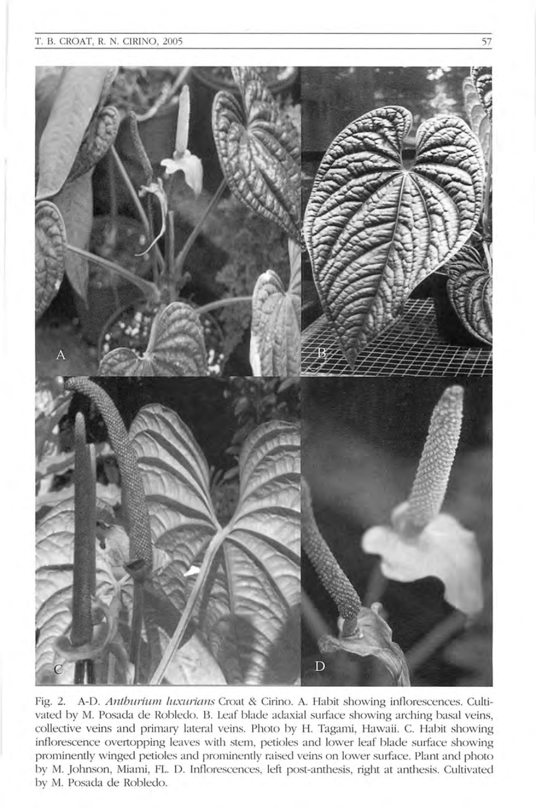

Fig. 2. A-D. Anthurium luxurians Croat & Cirino. A. Habit showing inflorescences. Cultivated by M. Posada de Robledo. B. Leaf blade adaxial surface showing arching basal veins, *collective veins and primary lateral veins. Photo by H. Tagami, Hawaii. C. Habit showing* inflorescence overtopping leaves with stem, petioles and lower leaf blade surface showing prominently winged petioles and prominently raised veins on lower surface. Plant and photo by M. Johnson, Miami, FL. D. Inflorescences, left post-anthesis, right at anthesis. Cultivated by M. Posada de Robledo.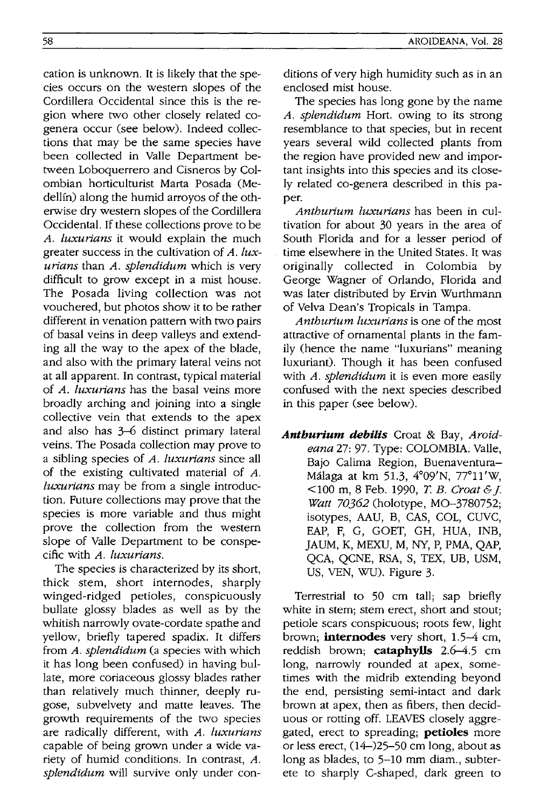cation is unknown. It is likely that the species occurs on the western slopes of the Cordillera Occidental since this is the region where two other closely related cogenera occur (see below). Indeed collections that may be the same species have been collected in Valle Department between Loboquerrero and Cisneros by Colombian horticulturist Marta Posada (Medellin) along the humid arroyos of the otherwise dry western slopes of the Cordillera Occidental. If these collections prove to be *A. luxurians* it would explain the much greater success in the cultivation of *A. luxurians* than *A. splendidum* which is very difficult to grow except in a mist house. The Posada living collection was not vouchered, but photos show it to be rather different in venation pattern with two pairs of basal veins in deep valleys and extending all the way to the apex of the blade, and also with the primary lateral veins not at all apparent. In contrast, typical material of *A. luxurians* has the basal veins more broadly arching and joining into a single collective vein that extends to the apex and also has 3-6 distinct primary lateral veins. The Posada collection may prove to a sibling species of *A. luxurians* since all of the existing cultivated material of *A. luxurians* may be from a single introduction. Future collections may prove that the species is more variable and thus might prove the collection from the western slope of Valle Department to be conspecific with *A. luxurians.* 

The species is characterized by its short, thick stem, short internodes, sharply winged-ridged petioles, conspicuously bullate glossy blades as well as by the whitish narrowly ovate-cordate spathe and yellow, briefly tapered spadix. It differs from *A. splendidum* (a species with which it has long been confused) in having bullate, more coriaceous glossy blades rather than relatively much thinner, deeply rugose, subvelvety and matte leaves. The growth requirements of the two species are radically different, with *A. luxurians*  capable of being grown under a wide variety of humid conditions. In contrast, A. *splendidum* will survive only under conditions of very high humidity such as in an enclosed mist house.

The species has long gone by the name *A. splendidum* Hort. owing to its strong resemblance to that species, but in recent years several wild collected plants from the region have provided new and important insights into this species and its closely related co-genera described in this paper.

*Anthurium luxurians* has been in cultivation for about 30 years in the area of South Florida and for a lesser period of time elsewhere in the United States. It was originally collected in Colombia by George Wagner of Orlando, Florida and was later distributed by Ervin Wurthmann of Velva Dean's Tropicals in Tampa.

*Anthurium luxurians* is one of the most attractive of ornamental plants in the family (hence the name "luxurians" meaning luxuriant). Though it has been confused with *A. splendidum* it is even more easily confused with the next species described in this paper (see below).

*Anthurium debilis* Croat & Bay, *Aroideana* 27: 97. Type: COLOMBIA. Valle, Bajo Calima Region, Buenaventura-Malaga at km 51.3, 4°09'N, 77°11'W, <100 m, 8 Feb. 1990, *T B. Croat&j. Watt 70362* (holotype, MO-3780752; isotypes, AAU, B, CAS, COL, CUVC, EAP, F, G, GOET, GH, HUA, INB, JAUM, K, MEXU, M, NY, P, PMA, QAP, QCA, QCNE, RSA, S, TEX, UB, USM, US, VEN, WU). Figure 3.

Terrestrial to 50 cm tall; sap briefly white in stem; stem erect, short and stout; petiole scars conspicuous; roots few, light brown; **internodes** very short, 1.5-4 cm, reddish brown; **cataphyIIs** 2.6-4.5 cm long, narrowly rounded at apex, sometimes with the midrib extending beyond the end, persisting semi-intact and dark brown at apex, then as fibers, then deciduous or rotting off. LEAVES closelyaggregated, erect to spreading; **petioles** more or less erect, (14-)25-50 cm long, about as long as blades, to 5-10 mm diam., subterete to sharply C-shaped, dark green to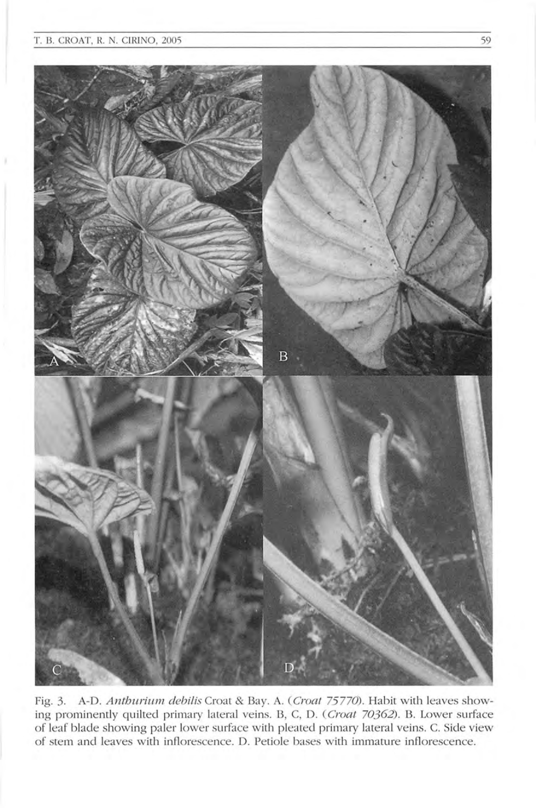

Fig. 3. A-D. Anthurium debilis Croat & Bay. A. (Croat 75770). Habit with leaves showing prominently quilted primary lateral veins. B, C, D. (Croat 70362). B. Lower surface of leaf blade showing paler lower surface with pleated primary lateral veins. C. Side view of stem and leaves with inflorescence. D. Petiole bases with immature inflorescence.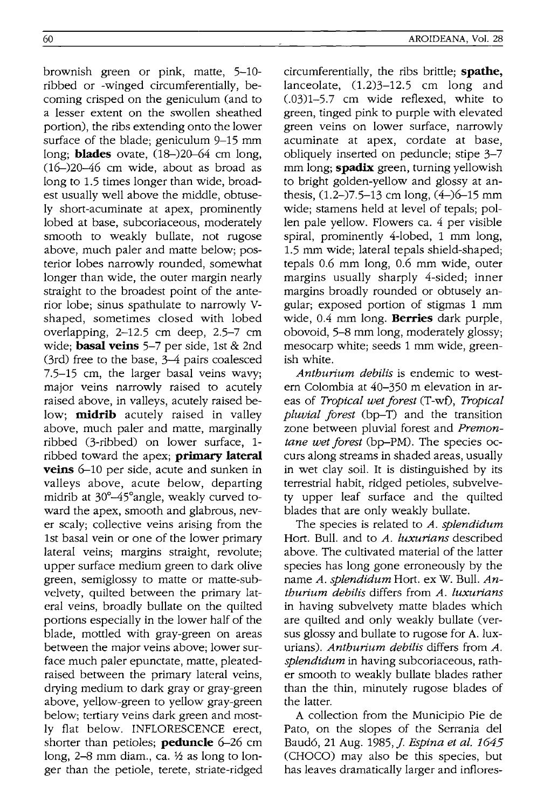brownish green or pink, matte, 5-10 ribbed or -winged circumferentially, becoming crisped on the geniculum (and to a lesser extent on the swollen sheathed portion), the ribs extending onto the lower surface of the blade; geniculum 9-15 mm long; **blades** ovate,  $(18-)20-64$  cm long, (16-)20-46 cm wide, about as broad as long to 1.5 times longer than wide, broadest usually well above the middle, obtusely short-acuminate at apex, prominently lobed at base, subcoriaceous, moderately smooth to weakly bullate, not rugose above, much paler and matte below; posterior lobes narrowly rounded, somewhat longer than wide, the outer margin nearly straight to the broadest point of the anterior lobe; sinus spathulate to narrowly Vshaped, sometimes closed with lobed overlapping, 2-12.5 cm deep, 2.5-7 cm wide; **basal veins** 5-7 per side, 1st & 2nd (3rd) free to the base, 3-4 pairs coalesced 7.5-15 cm, the larger basal veins wavy; major veins narrowly raised to acutely raised above, in valleys, acutely raised below; **midrib** acutely raised in valley above, much paler and matte, marginally ribbed (3-ribbed) on lower surface, 1 ribbed toward the apex; **primary lateral veins** 6-10 per side, acute and sunken in valleys above, acute below, departing midrib at 30°-45°angle, weakly curved toward the apex, smooth and glabrous, never scaly; collective veins arising from the 1st basal vein or one of the lower primary lateral veins; margins straight, revolute; upper surface medium green to dark olive green, semiglossy to matte or matte-subvelvety, quilted between the primary lateral veins, broadly bullate on the quilted portions especially in the lower half of the blade, mottled with gray-green on areas between the major veins above; lower surface much paler epunctate, matte, pleatedraised between the primary lateral veins, drying medium to dark gray or gray-green above, yellow-green to yellow gray-green below; tertiary veins dark green and mostly flat below. INFLORESCENCE erect, shorter than petioles; **peduncle** 6-26 cm

long,  $2-8$  mm diam., ca.  $\frac{1}{2}$  as long to longer than the petiole, terete, striate-ridged AROIDEANA, Vol. 28

circumferentially, the ribs brittle; **spathe,**  lanceolate,  $(1.2)3-12.5$  cm long and (.03)1-5.7 cm wide reflexed, white to green, tinged pink to purple with elevated green veins on lower surface, narrowly acuminate at apex, cordate at base, obliquely inserted on peduncle; stipe 3-7 mm long; **spadix** green, turning yellowish to bright golden-yellow and glossy at anthesis,  $(1.2-)7.5-13$  cm long,  $(4-)6-15$  mm wide; stamens held at level of tepals; pollen pale yellow. Flowers ca. 4 per visible spiral, prominently 4-lobed, 1 mm long, 1.5 mm wide; lateral tepals shield-shaped; tepals 0.6 mm long, 0.6 mm wide, outer margins usually sharply 4-sided; inner margins broadly rounded or obtusely angular; exposed portion of stigmas 1 mm wide, 0.4 mm long. **Berries** dark purple, obovoid, 5-8 mm long, moderately glossy; mesocarp white; seeds 1 mm wide, greenish white.

*Anthurium debilis* is endemic to western Colombia at 40-350 m elevation in areas of *Tropical wet forest* (T-wf), *Tropical pluvial forest* (bp-T) and the transition zone between pluvial forest and *Premontane wet forest* (bp-PM). The species occurs along streams in shaded areas, usually in wet clay soil. It is distinguished by its terrestrial habit, ridged petioles, subvelvety upper leaf surface and the quilted blades that are only weakly bullate.

The species is related to *A. splendidum*  Hort. Bull. and to *A. luxurians* described above. The cultivated material of the latter species has long gone erroneously by the name *A. splendidum* Hort. ex W. Bull. *Anthurium debilis* differs from *A. luxurians*  in having subvelvety matte blades which are quilted and only weakly bullate (versus glossy and bullate to rugose for A. luxurians). *Anthurium debilis* differs from *A. splendidum* in having subcoriaceous, rather smooth to weakly bullate blades rather than the thin, minutely rugose blades of the latter.

A collection from the Municipio Pie de Pato, on the slopes of the Serrania del Baud6, 21 Aug. 1985, j. *Espina et al. 1645*  (CHOCO) may also be this species, but has leaves dramatically larger and inflores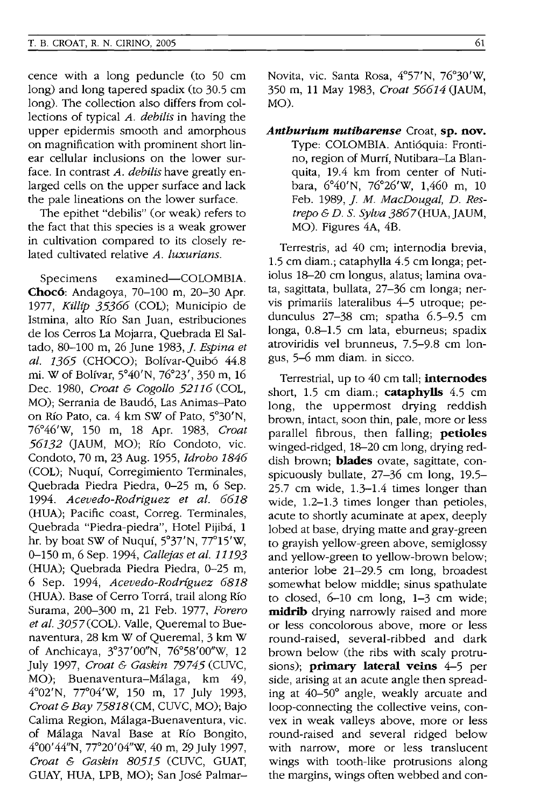cence with a long peduncle (to 50 cm long) and long tapered spadix (to 30.5 cm long). The collection also differs from collections of typical *A. debilis* in having the upper epidermis smooth and amorphous on magnification with prominent short linear cellular inclusions on the lower surface. In contrast *A. debilis* have greatly enlarged cells on the upper surface and lack the pale lineations on the lower surface.

The epithet "debilis" (or weak) refers to the fact that this species is a weak grower in cultivation compared to its closely related cultivated relative *A. luxurians.* 

Specimens examined-COLOMBIA. **Choc6:** Andagoya, 70-100 m, 20-30 Apr. *1977, Killip* 35366 (COL); Municipio de Istmina, alto Río San Juan, estribuciones de los Cerros La Mojarra, Quebrada EI Saltado, 80-100 m, 26 June 1983,]. *Espina et al.* 1365 (CHOCO); Bolfvar-Quib6 44.8 mi. W of Bolfvar, 5°40'N, 76°23', 350 m, 16 Dec. 1980, *Croat* & *Cogollo* 52116 (COL, MO); Serrania de Baud6, Las Animas-Pato on Rio Pato, ca. 4 km SW of Pato, 5°30'N, 76°46'w, 150 m, 18 Apr. 1983, *Croat*  56132 (JAUM, MO); Rfo Condoto, vic. Condoto, 70 m, 23 Aug. 1955, *Idrobo* 1846 (COL); Nuquf, Corregimiento Terminales, Quebrada Piedra Piedra, 0-25 m, 6 Sep. *1994. Acevedo-Rodriguez et al.* 6618 (HUA); Pacific coast, Correg. Terminales, Quebrada "Piedra-piedra", Hotel Pijiba, 1 hr. by boat SW of Nuquf, 5°37'N, 77°15'W, 0-150 m, 6 Sep. 1994, *Callejas et at.* 11193 (HUA); Quebrada Piedra Piedra, 0-25 m, 6 Sep. 1994, *Acevedo-Rodriguez* 6818 (HUA). Base of Cerro Torra, trail along Rio Surama, 200-300 m, 21 Feb. 1977, *Forero*  et al. 3057(COL). Valle, Queremal to Buenaventura, 28 km W of Queremal, 3 km W of Anchicaya, 3°37'OO"N, 76°58'OO''W, 12 July 1997, *Croat* & *Gaskin* 79745 (CUVC, MO); Buenaventura-Malaga, km 49, 4°02'N, 77°04'W, 150 m, 17 July 1993, *Croat* & *Bay* 75818(CM, CUVC, MO); Bajo Calima Region, Malaga-Buenaventura, vic. of Malaga Naval Base at RIo Bongito, 4°00'44"N, 77°20'04"W, 40 m, 29 July 1997, *Croat* & *Gaskin* 80515 (CUVC, GUAT, GUAY, HUA, LPB, MO); San Jose PalmarNovita, vic. Santa Rosa, 4°57'N, 76°30'W, 350 m, 11 May 1983, *Croat* 56614 (JAUM, MO).

*Anthurium nutibarense* Croat, **sp. nov.**  Type: COLOMBIA. Anti6quia: Frontino, region of Murrf, Nutibara-La Blanquita, 19.4 km from center of Nutibara, 6°40'N, 76°26'W, 1,460 m, 10 Feb. 1989,]. M. *MacDougal, D. Restrepo&D.* S. *Sylva* 3867(HUA,JAUM, MO). Figures 4A, 4B.

Terrestris, ad 40 cm; internodia brevia, 1.5 cm diam.; cataphylla 4.5 cm longa; petiolus 18-20 cm longus, alatus; lamina ovata, sagittata, bullata, 27-36 cm longa; nervis primariis lateralibus 4-5 utroque; pedunculus 27-38 cm; spatha 6.5-9.5 cm longa, 0.8-1.5 cm lata, eburneus; spadix atroviridis vel brunneus, 7.5-9.8 cm longus, 5-6 mm diam. in sicco.

Terrestrial, up to 40 cm tall; **internodes**  short, 1.5 cm diam.; **cataphylls** 4.5 cm long, the uppermost drying reddish brown, intact, soon thin, pale, more or less parallel fibrous, then falling; **petioles**  winged-ridged, 18-20 cm long, drying reddish brown; **blades** ovate, sagittate, conspicuously bullate, 27-36 cm long, 19.5- 25.7 cm wide, 1.3-1.4 times longer than wide, 1.2-1.3 times longer than petioles, acute to shortly acuminate at apex, deeply lobed at base, drying matte and gray-green to grayish yellow-green above, semiglossy and yellow-green to yellow-brown below; anterior lobe 21-29.5 cm long, broadest somewhat below middle; sinus spathulate to closed, 6-10 cm long, 1-3 cm wide; **midrib** drying narrowly raised and more or less concolorous above, more or less round-raised, several-ribbed and dark brown below (the ribs with scaly protrusions); **primary lateral veins** 4-5 per side, arising at an acute angle then spreading at 40-50° angle, weakly arcuate and loop-connecting the collective veins, convex in weak valleys above, more or less round-raised and several ridged below with narrow, more or less translucent wings with tooth-like protrusions along the margins, wings often webbed and con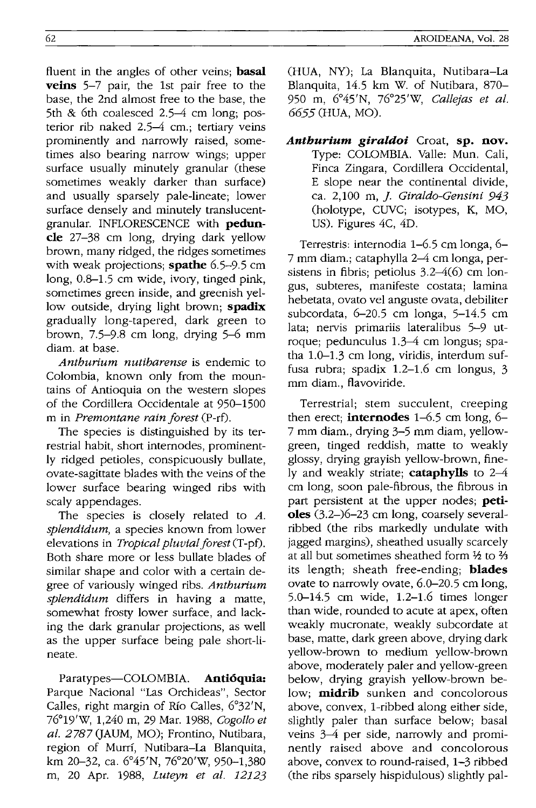fluent in the angles of other veins; **basal veins** 5-7 pair, the 1st pair free to the base, the 2nd almost free to the base, the 5th & 6th coalesced 2.5-4 cm long; posterior rib naked 2.5-4 cm.; tertiary veins prominently and narrowly raised, sometimes also bearing narrow wings; upper surface usually minutely granular (these sometimes weakly darker than surface) and usually sparsely pale-lineate; lower surface densely and minutely translucentgranular. INFLORESCENCE with **peduncle** 27-38 cm long, drying dark yellow brown, many ridged, the ridges sometimes with weak projections; **spathe** 6.5-9.5 cm long, 0.8-1.5 cm wide, ivory, tinged pink, sometimes green inside, and greenish yellow outside, drying light brown; **spadix**  gradually long-tapered, dark green to brown, 7.5-9.8 cm long, drying 5-6 mm diam. at base.

*Anthurium nutibarense* is endemic to Colombia, known only from the mountains of Antioquia on the western slopes of the Cordillera Occidentale at 950-1500 m in *Premontane rain forest* (P-rf).

The species is distinguished by its terrestrial habit, short internodes, prominently ridged petioles, conspicuously bullate, ovate-sagittate blades with the veins of the lower surface bearing winged ribs with scaly appendages.

The species is closely related to *A. splendidum,* a species known from lower elevations in *Tropical pluvial forest* (T-pf). Both share more or less bullate blades of similar shape and color with a certain degree of variously winged ribs. *Anthurium splendidum* differs in having a matte, somewhat frosty lower surface, and lacking the dark granular projections, as well as the upper surface being pale short-lineate.

Paratypes-COLOMBIA. **Anti6quia:**  Parque Nacional "Las Orchideas", Sector Calles, right margin of Rfo Calles, 6°32'N, 76°19'W, 1,240 m, 29 Mar. 1988, *Cogollo et al.* 2787 QAUM, MO); Frontino, Nutibara, region of Murrf, Nutibara-La Blanquita, km 20-32, ca. 6°45'N, 76°20'W, 950-1,380 m, 20 Apr. 1988, *Luteyn et at. 12123*  (HUA, NY); La Blanquita, Nutibara-La Blanquita, 14.5 km W. of Nutibara, 870- 950 m, 6°45'N, 76°25'W, *Callejas et al.*  6655 (HUA, MO).

*Anthurium giraldoi* Croat, **sp. nov.**  Type: COLOMBIA. Valle: Mun. Cali, Finca Zingara, Cordillera Occidental, E slope near the continental divide, ca. 2,100 m, j. *Giraldo-Gensini 943*  (holotype, CUVC; isotypes, K, MO, US). Figures 4C, 4D.

Terrestris: internodia 1-6.5 cm longa, 6- 7 mm diam.; cataphylla 2-4 cm longa, persistens in fibris; petiolus 3.2-4(6) cm longus, subteres, manifeste costata; lamina hebetata, ovato vel anguste ovata, debiliter subcordata, 6-20.5 cm longa, 5-14.5 cm lata; nervis primariis lateralibus 5-9 utroque; pedunculus 1.3-4 cm longus; spatha 1.0-1.3 cm long, viridis, interdum suffusa rubra; spadix 1.2-1.6 cm longus, 3 mm diam., flavoviride.

Terrestrial; stem succulent, creeping then erect; **internodes** 1-6.5 cm long, 6- 7 mm diam., drying 3-5 mm diam, yellowgreen, tinged reddish, matte to weakly glossy, drying grayish yellow-brown, finely and weakly striate; **cataphylls** to 2-4 cm long, soon pale-fibrous, the fibrous in part persistent at the upper nodes; **petioles** (3.2-)6-23 cm long, coarsely severalribbed (the ribs markedly undulate with jagged margins), sheathed usually scarcely at all but sometimes sheathed form  $\frac{1}{2}$  to  $\frac{2}{3}$ its length; sheath free-ending; **blades**  ovate to narrowly ovate, 6.0-20.5 cm long, 5.0-14.5 cm wide, 1.2-1.6 times longer than wide, rounded to acute at apex, often weakly mucronate, weakly subcordate at base, matte, dark green above, drying dark yellow-brown to medium yellow-brown above, moderately paler and yellow-green below, drying grayish yellow-brown below; **midrib** sunken and concolorous above, convex, I-ribbed along either side, slightly paler than surface below; basal veins 3-4 per side, narrowly and prominently raised above and concolorous above, convex to round-raised, 1-3 ribbed (the ribs sparsely hispidulous) slightly pal-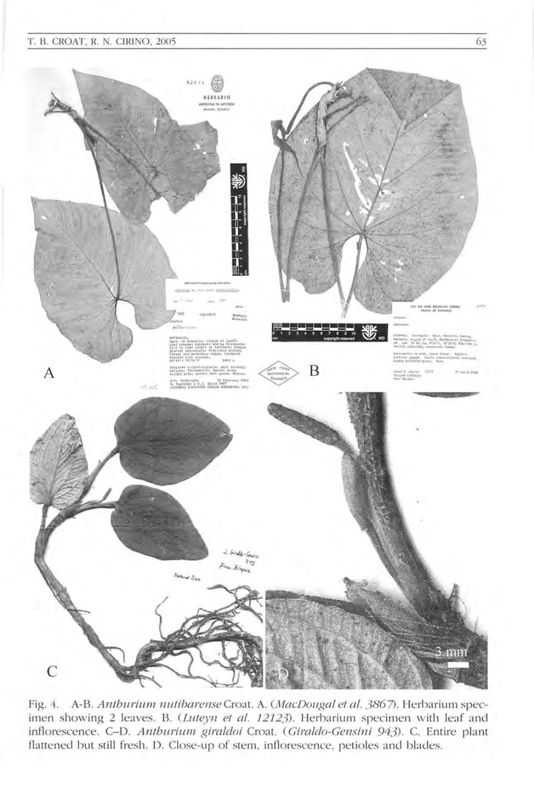#### T. B. CROAT, R. N. CIRINO, 2005 63



Fig. 4. A-B. Anthurium nutibarense Croat. A. (MacDougal et al. 3867). Herbarium specimen showing 2 leaves. B. (Luteyn et al. 12123). Herbarium specimen with leaf and inflorescence. C-D. Anthurium giraldoi Croat. (Giraldo-Gensini 943). C. Entire plant flattened but still fresh. D. Close-up of stem, inflorescence, petioles and blades.